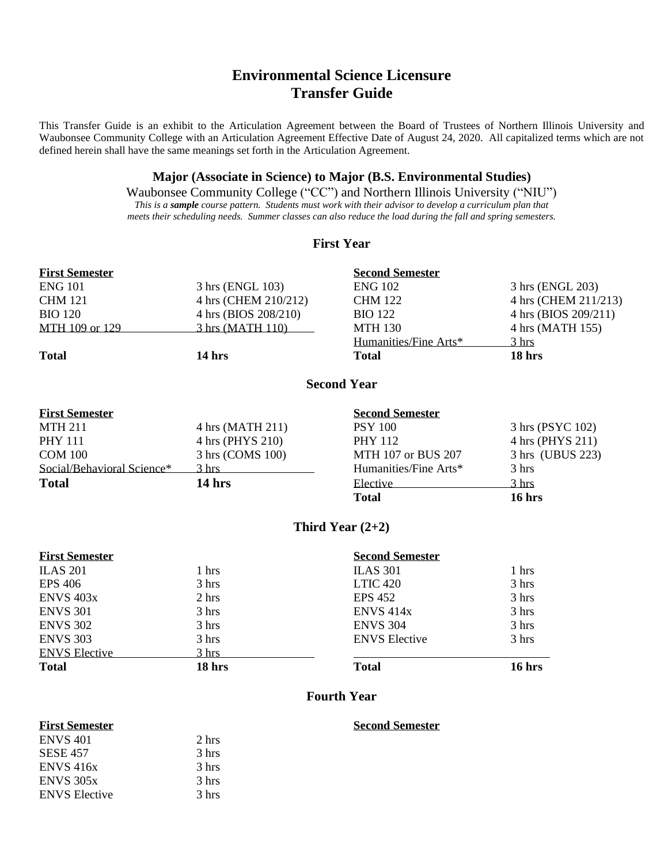# **Environmental Science Licensure Transfer Guide**

This Transfer Guide is an exhibit to the Articulation Agreement between the Board of Trustees of Northern Illinois University and Waubonsee Community College with an Articulation Agreement Effective Date of August 24, 2020. All capitalized terms which are not defined herein shall have the same meanings set forth in the Articulation Agreement.

## **Major (Associate in Science) to Major (B.S. Environmental Studies)**

Waubonsee Community College ("CC") and Northern Illinois University ("NIU") *This is a sample course pattern. Students must work with their advisor to develop a curriculum plan that meets their scheduling needs. Summer classes can also reduce the load during the fall and spring semesters.*

## **First Year**

| <b>First Semester</b>      |                      | <b>Second Semester</b> |                      |
|----------------------------|----------------------|------------------------|----------------------|
| <b>ENG 101</b>             | 3 hrs (ENGL 103)     | <b>ENG 102</b>         | 3 hrs (ENGL 203)     |
| <b>CHM 121</b>             | 4 hrs (CHEM 210/212) | <b>CHM 122</b>         | 4 hrs (CHEM 211/213) |
| <b>BIO 120</b>             | 4 hrs (BIOS 208/210) | <b>BIO 122</b>         | 4 hrs (BIOS 209/211) |
| MTH 109 or 129             | 3 hrs (MATH 110)     | <b>MTH 130</b>         | 4 hrs (MATH 155)     |
|                            |                      | Humanities/Fine Arts*  | 3 <sub>hrs</sub>     |
| <b>Total</b>               | 14 hrs               | <b>Total</b>           | 18 hrs               |
|                            |                      | <b>Second Year</b>     |                      |
| <b>First Semester</b>      |                      | <b>Second Semester</b> |                      |
| <b>MTH 211</b>             | 4 hrs (MATH 211)     | <b>PSY 100</b>         | 3 hrs (PSYC 102)     |
| <b>PHY 111</b>             | 4 hrs (PHYS 210)     | <b>PHY 112</b>         | 4 hrs (PHYS 211)     |
| <b>COM 100</b>             | 3 hrs (COMS 100)     | MTH 107 or BUS 207     | 3 hrs (UBUS 223)     |
| Social/Behavioral Science* | $3 \text{ hrs}$      | Humanities/Fine Arts*  | 3 hrs                |
| <b>Total</b>               | 14 hrs               | Elective               | 3 hrs                |
|                            |                      | <b>Total</b>           | 16 hrs               |
|                            |                      | Third Year $(2+2)$     |                      |
| <b>First Semester</b>      |                      | <b>Second Semester</b> |                      |
| <b>ILAS 201</b>            | 1 hrs                | <b>ILAS 301</b>        | 1 hrs                |
| <b>EPS 406</b>             | 3 hrs                | <b>LTIC 420</b>        | 3 hrs                |
| ENVS <sub>403x</sub>       | 2 hrs                | <b>EPS 452</b>         | 3 hrs                |
| <b>ENVS 301</b>            | 3 hrs                | <b>ENVS 414x</b>       | 3 hrs                |
| <b>ENVS 302</b>            | 3 hrs                | <b>ENVS 304</b>        | 3 hrs                |
| <b>ENVS 303</b>            | 3 hrs                | <b>ENVS</b> Elective   | 3 hrs                |
| <b>ENVS Elective</b>       | 3 hrs                |                        |                      |

## **Fourth Year**

**Total 18 hrs Total 16 hrs**

 $ENVS 401$  2 hrs SESE 457 3 hrs ENVS 416x 3 hrs  $ENVS$  305 $x$  3 hrs ENVS Elective 3 hrs

## **First Semester Second Semester**